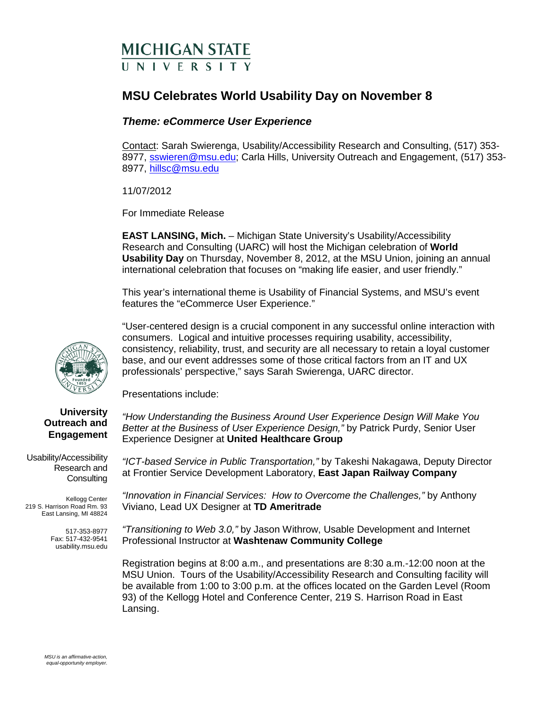# **MICHIGAN STATE II N I V F R S I T Y**

## **MSU Celebrates World Usability Day on November 8**

### *Theme: eCommerce User Experience*

Contact: Sarah Swierenga, Usability/Accessibility Research and Consulting, (517) 353 8977, [sswieren@msu.edu;](mailto:sswieren@msu.edu) Carla Hills, University Outreach and Engagement, (517) 353-8977, [hillsc@msu.edu](mailto:hillsc@msu.edu)

11/07/2012

For Immediate Release

**EAST LANSING, Mich.** – Michigan State University's Usability/Accessibility Research and Consulting (UARC) will host the Michigan celebration of **World Usability Day** on Thursday, November 8, 2012, at the MSU Union, joining an annual international celebration that focuses on "making life easier, and user friendly."

This year's international theme is Usability of Financial Systems, and MSU's event features the "eCommerce User Experience."

"User-centered design is a crucial component in any successful online interaction with consumers. Logical and intuitive processes requiring usability, accessibility, consistency, reliability, trust, and security are all necessary to retain a loyal customer base, and our event addresses some of those critical factors from an IT and UX professionals' perspective," says Sarah Swierenga, UARC director.

Presentations include:

**University Outreach and Engagement**

Usability/Accessibility Research and **Consulting** 

Kellogg Center 219 S. Harrison Road Rm. 93 East Lansing, MI 48824

> 517-353-8977 Fax: 517-432-9541 usability.msu.edu

*"How Understanding the Business Around User Experience Design Will Make You Better at the Business of User Experience Design,"* by Patrick Purdy, Senior User Experience Designer at **United Healthcare Group**

*"ICT-based Service in Public Transportation,"* by Takeshi Nakagawa, Deputy Director at Frontier Service Development Laboratory, **East Japan Railway Company**

*"Innovation in Financial Services: How to Overcome the Challenges,"* by Anthony Viviano, Lead UX Designer at **TD Ameritrade**

*"Transitioning to Web 3.0,"* by Jason Withrow, Usable Development and Internet Professional Instructor at **Washtenaw Community College**

Registration begins at 8:00 a.m., and presentations are 8:30 a.m.-12:00 noon at the MSU Union. Tours of the Usability/Accessibility Research and Consulting facility will be available from 1:00 to 3:00 p.m. at the offices located on the Garden Level (Room 93) of the Kellogg Hotel and Conference Center, 219 S. Harrison Road in East Lansing.